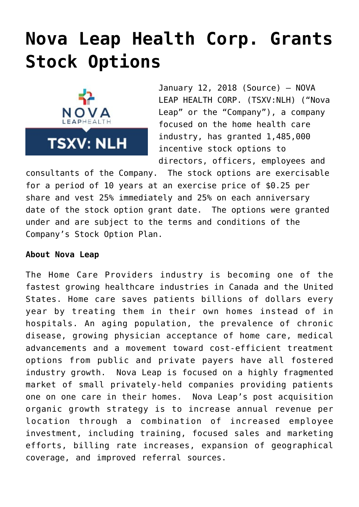## **[Nova Leap Health Corp. Grants](https://investorintel.com/markets/biotech-healthcare/biotech-news/nova-leap-health-corp-grants-stock-options/) [Stock Options](https://investorintel.com/markets/biotech-healthcare/biotech-news/nova-leap-health-corp-grants-stock-options/)**



January 12, 2018 [\(Source](https://investorintel.com/iintel-members/nova-leap-health-corp/)) — NOVA LEAP HEALTH CORP. (TSXV:NLH) ("Nova Leap" or the "Company"), a company focused on the home health care industry, has granted 1,485,000 incentive stock options to directors, officers, employees and

consultants of the Company. The stock options are exercisable for a period of 10 years at an exercise price of \$0.25 per share and vest 25% immediately and 25% on each anniversary date of the stock option grant date. The options were granted under and are subject to the terms and conditions of the Company's Stock Option Plan.

## **About Nova Leap**

The Home Care Providers industry is becoming one of the fastest growing healthcare industries in Canada and the United States. Home care saves patients billions of dollars every year by treating them in their own homes instead of in hospitals. An aging population, the prevalence of chronic disease, growing physician acceptance of home care, medical advancements and a movement toward cost-efficient treatment options from public and private payers have all fostered industry growth. Nova Leap is focused on a highly fragmented market of small privately-held companies providing patients one on one care in their homes. Nova Leap's post acquisition organic growth strategy is to increase annual revenue per location through a combination of increased employee investment, including training, focused sales and marketing efforts, billing rate increases, expansion of geographical coverage, and improved referral sources.